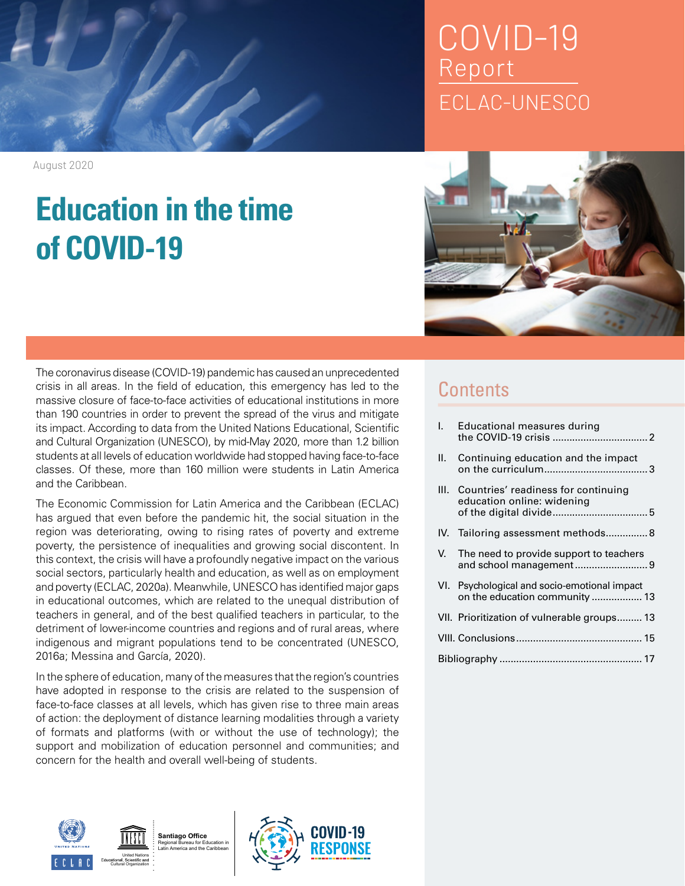## COVID-19 Report ECLAC-UNESCO



The coronavirus disease (COVID-19) pandemic has caused an unprecedented crisis in all areas. In the field of education, this emergency has led to the massive closure of face-to-face activities of educational institutions in more than 190 countries in order to prevent the spread of the virus and mitigate its impact. According to data from the United Nations Educational, Scientific and Cultural Organization (UNESCO), by mid-May 2020, more than 1.2 billion students at all levels of education worldwide had stopped having face-to-face classes. Of these, more than 160 million were students in Latin America and the Caribbean.

The Economic Commission for Latin America and the Caribbean (ECLAC) has argued that even before the pandemic hit, the social situation in the region was deteriorating, owing to rising rates of poverty and extreme poverty, the persistence of inequalities and growing social discontent. In this context, the crisis will have a profoundly negative impact on the various social sectors, particularly health and education, as well as on employment and poverty (ECLAC, 2020a). Meanwhile, UNESCO has identified major gaps in educational outcomes, which are related to the unequal distribution of teachers in general, and of the best qualified teachers in particular, to the detriment of lower-income countries and regions and of rural areas, where indigenous and migrant populations tend to be concentrated (UNESCO, 2016a; Messina and García, 2020).

In the sphere of education, many of the measures that the region's countries have adopted in response to the crisis are related to the suspension of face-to-face classes at all levels, which has given rise to three main areas of action: the deployment of distance learning modalities through a variety of formats and platforms (with or without the use of technology); the support and mobilization of education personnel and communities; and concern for the health and overall well-being of students.







### **Contents**

| T. | Educational measures during                                                    |
|----|--------------------------------------------------------------------------------|
| Н. | Continuing education and the impact                                            |
|    | III. Countries' readiness for continuing<br>education online: widening         |
|    | IV. Tailoring assessment methods8                                              |
|    | V. The need to provide support to teachers                                     |
|    | VI. Psychological and socio-emotional impact<br>on the education community  13 |
|    | VII. Prioritization of vulnerable groups 13                                    |
|    |                                                                                |
|    |                                                                                |

August 2020

# **Education in the time of COVID-19**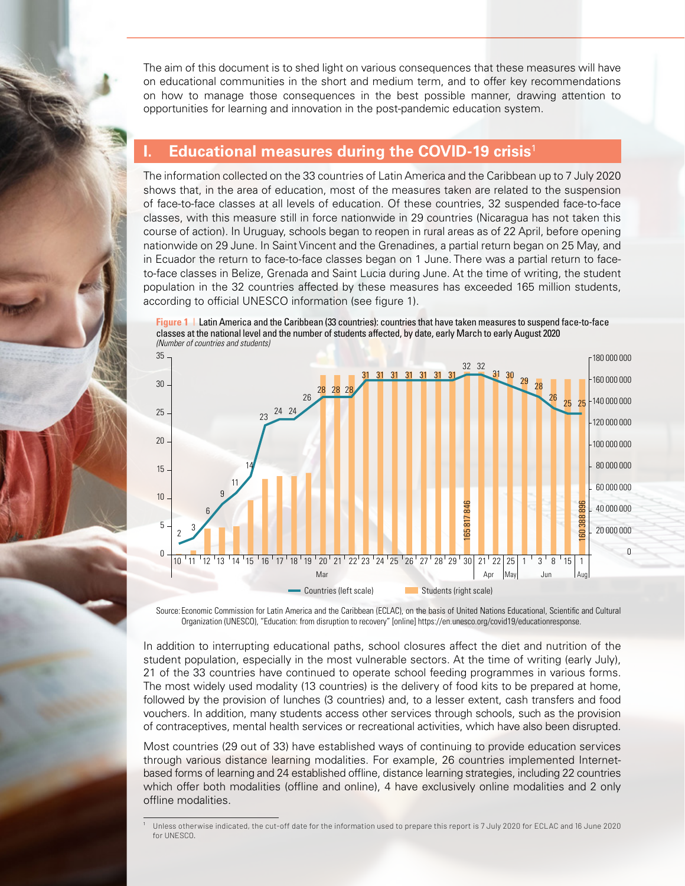The aim of this document is to shed light on various consequences that these measures will have on educational communities in the short and medium term, and to offer key recommendations on how to manage those consequences in the best possible manner, drawing attention to opportunities for learning and innovation in the post-pandemic education system.

#### **I. Educational measures during the COVID-19 crisis**<sup>1</sup>

The information collected on the 33 countries of Latin America and the Caribbean up to 7 July 2020 shows that, in the area of education, most of the measures taken are related to the suspension of face-to-face classes at all levels of education. Of these countries, 32 suspended face-to-face classes, with this measure still in force nationwide in 29 countries (Nicaragua has not taken this course of action). In Uruguay, schools began to reopen in rural areas as of 22 April, before opening nationwide on 29 June. In Saint Vincent and the Grenadines, a partial return began on 25 May, and in Ecuador the return to face-to-face classes began on 1 June. There was a partial return to faceto-face classes in Belize, Grenada and Saint Lucia during June. At the time of writing, the student population in the 32 countries affected by these measures has exceeded 165 million students, according to official UNESCO information (see figure 1).





Source: Economic Commission for Latin America and the Caribbean (ECLAC), on the basis of United Nations Educational, Scientific and Cultural Organization (UNESCO), "Education: from disruption to recovery" [online] https://en.unesco.org/covid19/educationresponse.

In addition to interrupting educational paths, school closures affect the diet and nutrition of the student population, especially in the most vulnerable sectors. At the time of writing (early July), 21 of the 33 countries have continued to operate school feeding programmes in various forms. The most widely used modality (13 countries) is the delivery of food kits to be prepared at home, followed by the provision of lunches (3 countries) and, to a lesser extent, cash transfers and food vouchers. In addition, many students access other services through schools, such as the provision of contraceptives, mental health services or recreational activities, which have also been disrupted.

Most countries (29 out of 33) have established ways of continuing to provide education services through various distance learning modalities. For example, 26 countries implemented Internetbased forms of learning and 24 established offline, distance learning strategies, including 22 countries which offer both modalities (offline and online), 4 have exclusively online modalities and 2 only offline modalities.

<sup>1</sup> Unless otherwise indicated, the cut-off date for the information used to prepare this report is 7 July 2020 for ECLAC and 16 June 2020 for UNESCO.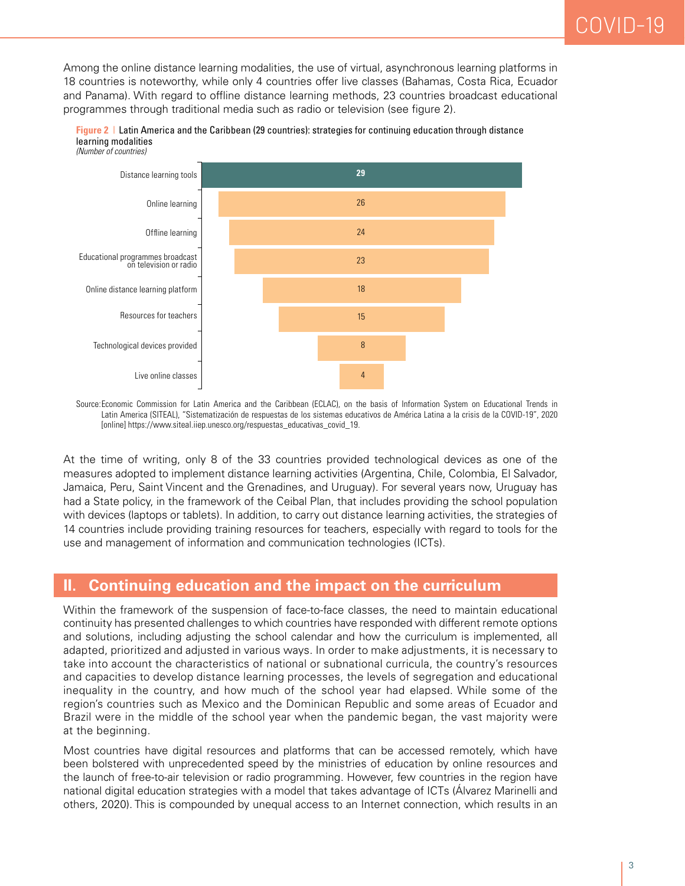Among the online distance learning modalities, the use of virtual, asynchronous learning platforms in 18 countries is noteworthy, while only 4 countries offer live classes (Bahamas, Costa Rica, Ecuador and Panama). With regard to offline distance learning methods, 23 countries broadcast educational programmes through traditional media such as radio or television (see figure 2).



**Figure 2** | Latin America and the Caribbean (29 countries): strategies for continuing education through distance learning modalities *(Number of countries)*

Source:Economic Commission for Latin America and the Caribbean (ECLAC), on the basis of Information System on Educational Trends in Latin America (SITEAL), "Sistematización de respuestas de los sistemas educativos de América Latina a la crisis de la COVID-19", 2020 [online] https://www.siteal.iiep.unesco.org/respuestas\_educativas\_covid\_19.

At the time of writing, only 8 of the 33 countries provided technological devices as one of the measures adopted to implement distance learning activities (Argentina, Chile, Colombia, El Salvador, Jamaica, Peru, Saint Vincent and the Grenadines, and Uruguay). For several years now, Uruguay has had a State policy, in the framework of the Ceibal Plan, that includes providing the school population with devices (laptops or tablets). In addition, to carry out distance learning activities, the strategies of 14 countries include providing training resources for teachers, especially with regard to tools for the use and management of information and communication technologies (ICTs).

#### **II. Continuing education and the impact on the curriculum**

Within the framework of the suspension of face-to-face classes, the need to maintain educational continuity has presented challenges to which countries have responded with different remote options and solutions, including adjusting the school calendar and how the curriculum is implemented, all adapted, prioritized and adjusted in various ways. In order to make adjustments, it is necessary to take into account the characteristics of national or subnational curricula, the country's resources and capacities to develop distance learning processes, the levels of segregation and educational inequality in the country, and how much of the school year had elapsed. While some of the region's countries such as Mexico and the Dominican Republic and some areas of Ecuador and Brazil were in the middle of the school year when the pandemic began, the vast majority were at the beginning.

Most countries have digital resources and platforms that can be accessed remotely, which have been bolstered with unprecedented speed by the ministries of education by online resources and the launch of free-to-air television or radio programming. However, few countries in the region have national digital education strategies with a model that takes advantage of ICTs (Álvarez Marinelli and others, 2020). This is compounded by unequal access to an Internet connection, which results in an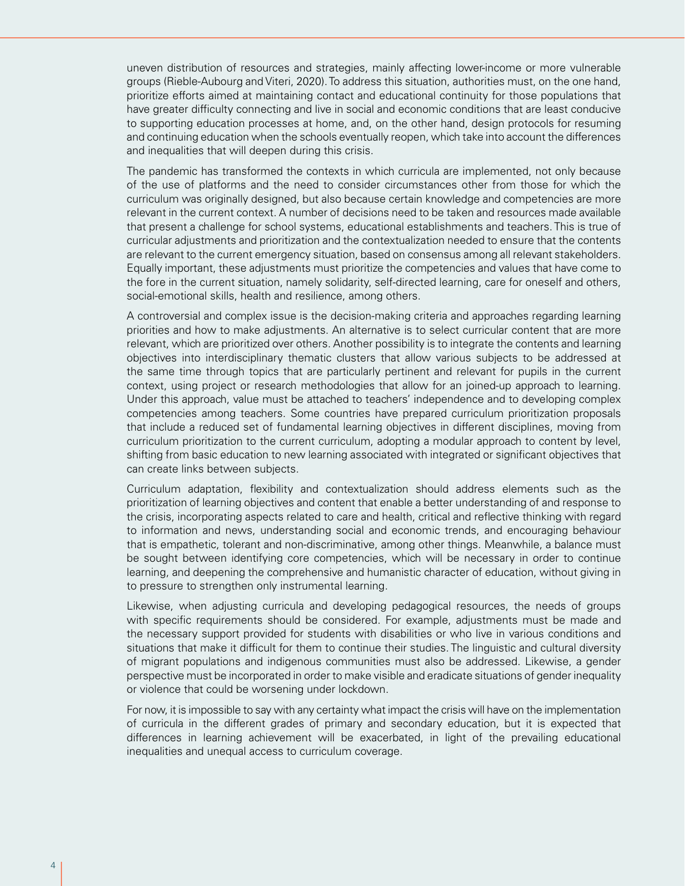uneven distribution of resources and strategies, mainly affecting lower-income or more vulnerable groups (Rieble-Aubourg and Viteri, 2020). To address this situation, authorities must, on the one hand, prioritize efforts aimed at maintaining contact and educational continuity for those populations that have greater difficulty connecting and live in social and economic conditions that are least conducive to supporting education processes at home, and, on the other hand, design protocols for resuming and continuing education when the schools eventually reopen, which take into account the differences and inequalities that will deepen during this crisis.

The pandemic has transformed the contexts in which curricula are implemented, not only because of the use of platforms and the need to consider circumstances other from those for which the curriculum was originally designed, but also because certain knowledge and competencies are more relevant in the current context. A number of decisions need to be taken and resources made available that present a challenge for school systems, educational establishments and teachers. This is true of curricular adjustments and prioritization and the contextualization needed to ensure that the contents are relevant to the current emergency situation, based on consensus among all relevant stakeholders. Equally important, these adjustments must prioritize the competencies and values that have come to the fore in the current situation, namely solidarity, self-directed learning, care for oneself and others, social-emotional skills, health and resilience, among others.

A controversial and complex issue is the decision-making criteria and approaches regarding learning priorities and how to make adjustments. An alternative is to select curricular content that are more relevant, which are prioritized over others. Another possibility is to integrate the contents and learning objectives into interdisciplinary thematic clusters that allow various subjects to be addressed at the same time through topics that are particularly pertinent and relevant for pupils in the current context, using project or research methodologies that allow for an joined-up approach to learning. Under this approach, value must be attached to teachers' independence and to developing complex competencies among teachers. Some countries have prepared curriculum prioritization proposals that include a reduced set of fundamental learning objectives in different disciplines, moving from curriculum prioritization to the current curriculum, adopting a modular approach to content by level, shifting from basic education to new learning associated with integrated or significant objectives that can create links between subjects.

Curriculum adaptation, flexibility and contextualization should address elements such as the prioritization of learning objectives and content that enable a better understanding of and response to the crisis, incorporating aspects related to care and health, critical and reflective thinking with regard to information and news, understanding social and economic trends, and encouraging behaviour that is empathetic, tolerant and non-discriminative, among other things. Meanwhile, a balance must be sought between identifying core competencies, which will be necessary in order to continue learning, and deepening the comprehensive and humanistic character of education, without giving in to pressure to strengthen only instrumental learning.

Likewise, when adjusting curricula and developing pedagogical resources, the needs of groups with specific requirements should be considered. For example, adjustments must be made and the necessary support provided for students with disabilities or who live in various conditions and situations that make it difficult for them to continue their studies. The linguistic and cultural diversity of migrant populations and indigenous communities must also be addressed. Likewise, a gender perspective must be incorporated in order to make visible and eradicate situations of gender inequality or violence that could be worsening under lockdown.

For now, it is impossible to say with any certainty what impact the crisis will have on the implementation of curricula in the different grades of primary and secondary education, but it is expected that differences in learning achievement will be exacerbated, in light of the prevailing educational inequalities and unequal access to curriculum coverage.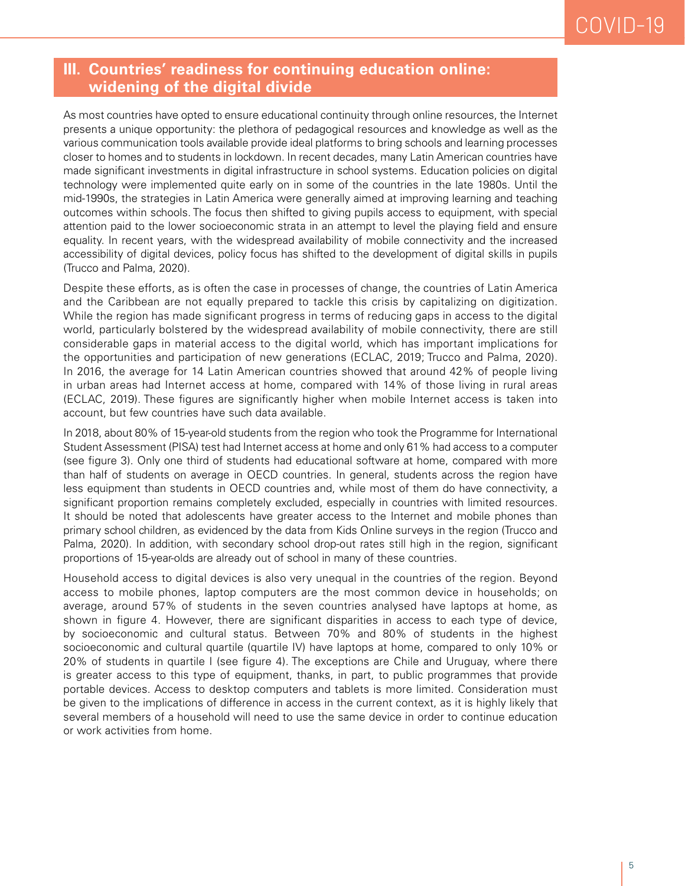#### **III. Countries' readiness for continuing education online: widening of the digital divide**

As most countries have opted to ensure educational continuity through online resources, the Internet presents a unique opportunity: the plethora of pedagogical resources and knowledge as well as the various communication tools available provide ideal platforms to bring schools and learning processes closer to homes and to students in lockdown. In recent decades, many Latin American countries have made significant investments in digital infrastructure in school systems. Education policies on digital technology were implemented quite early on in some of the countries in the late 1980s. Until the mid-1990s, the strategies in Latin America were generally aimed at improving learning and teaching outcomes within schools. The focus then shifted to giving pupils access to equipment, with special attention paid to the lower socioeconomic strata in an attempt to level the playing field and ensure equality. In recent years, with the widespread availability of mobile connectivity and the increased accessibility of digital devices, policy focus has shifted to the development of digital skills in pupils (Trucco and Palma, 2020).

Despite these efforts, as is often the case in processes of change, the countries of Latin America and the Caribbean are not equally prepared to tackle this crisis by capitalizing on digitization. While the region has made significant progress in terms of reducing gaps in access to the digital world, particularly bolstered by the widespread availability of mobile connectivity, there are still considerable gaps in material access to the digital world, which has important implications for the opportunities and participation of new generations (ECLAC, 2019; Trucco and Palma, 2020). In 2016, the average for 14 Latin American countries showed that around 42% of people living in urban areas had Internet access at home, compared with 14% of those living in rural areas (ECLAC, 2019). These figures are significantly higher when mobile Internet access is taken into account, but few countries have such data available.

In 2018, about 80% of 15-year-old students from the region who took the Programme for International Student Assessment (PISA) test had Internet access at home and only 61% had access to a computer (see figure 3). Only one third of students had educational software at home, compared with more than half of students on average in OECD countries. In general, students across the region have less equipment than students in OECD countries and, while most of them do have connectivity, a significant proportion remains completely excluded, especially in countries with limited resources. It should be noted that adolescents have greater access to the Internet and mobile phones than primary school children, as evidenced by the data from Kids Online surveys in the region (Trucco and Palma, 2020). In addition, with secondary school drop-out rates still high in the region, significant proportions of 15-year-olds are already out of school in many of these countries.

Household access to digital devices is also very unequal in the countries of the region. Beyond access to mobile phones, laptop computers are the most common device in households; on average, around 57% of students in the seven countries analysed have laptops at home, as shown in figure 4. However, there are significant disparities in access to each type of device, by socioeconomic and cultural status. Between 70% and 80% of students in the highest socioeconomic and cultural quartile (quartile IV) have laptops at home, compared to only 10% or 20% of students in quartile I (see figure 4). The exceptions are Chile and Uruguay, where there is greater access to this type of equipment, thanks, in part, to public programmes that provide portable devices. Access to desktop computers and tablets is more limited. Consideration must be given to the implications of difference in access in the current context, as it is highly likely that several members of a household will need to use the same device in order to continue education or work activities from home.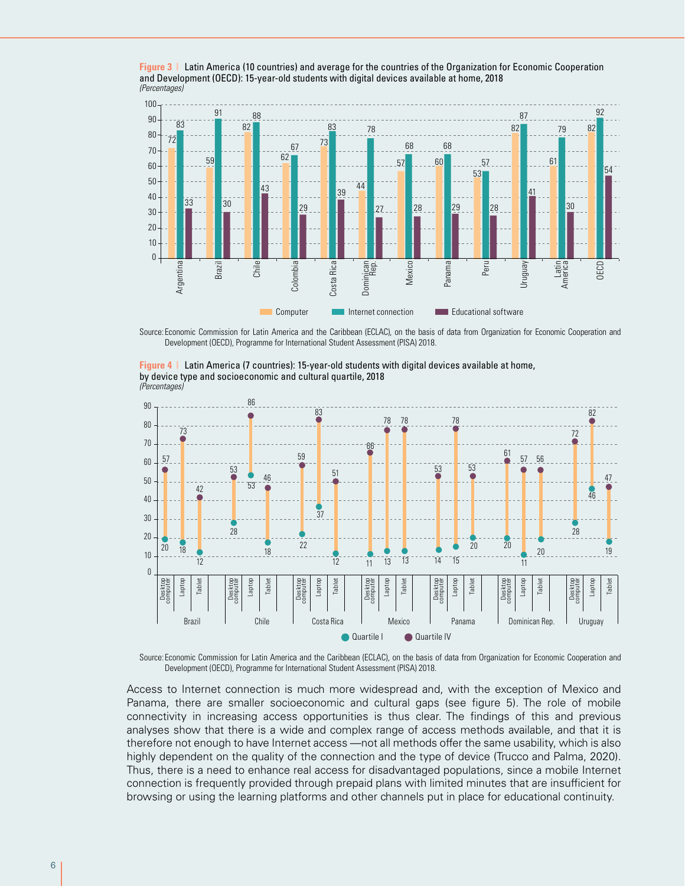



Source: Economic Commission for Latin America and the Caribbean (ECLAC), on the basis of data from Organization for Economic Cooperation and Development (OECD), Programme for International Student Assessment (PISA) 2018.





Source: Economic Commission for Latin America and the Caribbean (ECLAC), on the basis of data from Organization for Economic Cooperation and Development (OECD), Programme for International Student Assessment (PISA) 2018.

Access to Internet connection is much more widespread and, with the exception of Mexico and Panama, there are smaller socioeconomic and cultural gaps (see figure 5). The role of mobile connectivity in increasing access opportunities is thus clear. The findings of this and previous analyses show that there is a wide and complex range of access methods available, and that it is therefore not enough to have Internet access —not all methods offer the same usability, which is also highly dependent on the quality of the connection and the type of device (Trucco and Palma, 2020). Thus, there is a need to enhance real access for disadvantaged populations, since a mobile Internet connection is frequently provided through prepaid plans with limited minutes that are insufficient for browsing or using the learning platforms and other channels put in place for educational continuity.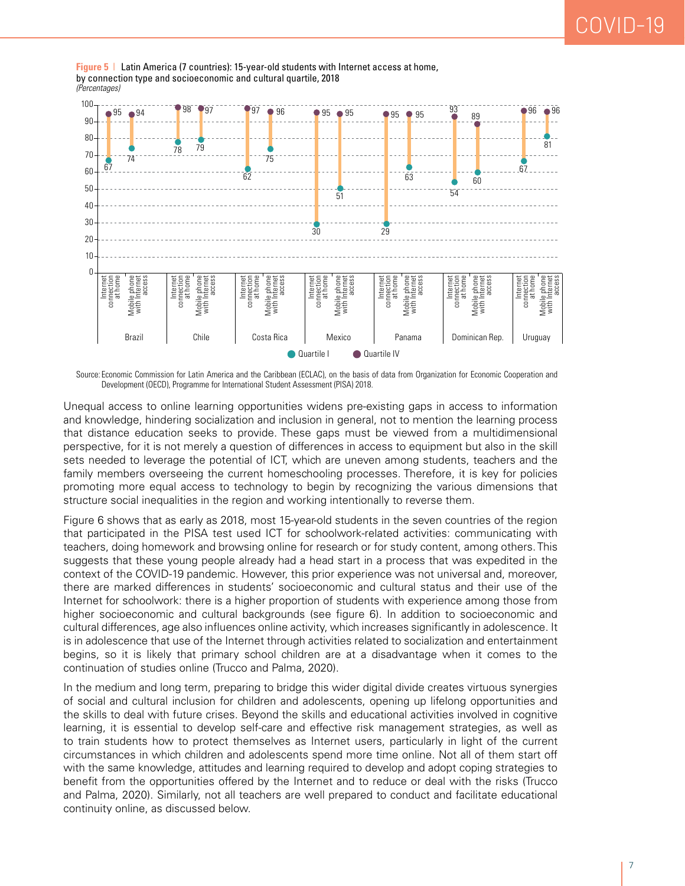

**Figure 5** | Latin America (7 countries): 15-year-old students with Internet access at home, by connection type and socioeconomic and cultural quartile, 2018 *(Percentages)*

Source: Economic Commission for Latin America and the Caribbean (ECLAC), on the basis of data from Organization for Economic Cooperation and Development (OECD), Programme for International Student Assessment (PISA) 2018.

Unequal access to online learning opportunities widens pre-existing gaps in access to information and knowledge, hindering socialization and inclusion in general, not to mention the learning process that distance education seeks to provide. These gaps must be viewed from a multidimensional perspective, for it is not merely a question of differences in access to equipment but also in the skill sets needed to leverage the potential of ICT, which are uneven among students, teachers and the family members overseeing the current homeschooling processes. Therefore, it is key for policies promoting more equal access to technology to begin by recognizing the various dimensions that structure social inequalities in the region and working intentionally to reverse them.

Figure 6 shows that as early as 2018, most 15-year-old students in the seven countries of the region that participated in the PISA test used ICT for schoolwork-related activities: communicating with teachers, doing homework and browsing online for research or for study content, among others. This suggests that these young people already had a head start in a process that was expedited in the context of the COVID-19 pandemic. However, this prior experience was not universal and, moreover, there are marked differences in students' socioeconomic and cultural status and their use of the Internet for schoolwork: there is a higher proportion of students with experience among those from higher socioeconomic and cultural backgrounds (see figure 6). In addition to socioeconomic and cultural differences, age also influences online activity, which increases significantly in adolescence. It is in adolescence that use of the Internet through activities related to socialization and entertainment begins, so it is likely that primary school children are at a disadvantage when it comes to the continuation of studies online (Trucco and Palma, 2020).

In the medium and long term, preparing to bridge this wider digital divide creates virtuous synergies of social and cultural inclusion for children and adolescents, opening up lifelong opportunities and the skills to deal with future crises. Beyond the skills and educational activities involved in cognitive learning, it is essential to develop self-care and effective risk management strategies, as well as to train students how to protect themselves as Internet users, particularly in light of the current circumstances in which children and adolescents spend more time online. Not all of them start off with the same knowledge, attitudes and learning required to develop and adopt coping strategies to benefit from the opportunities offered by the Internet and to reduce or deal with the risks (Trucco and Palma, 2020). Similarly, not all teachers are well prepared to conduct and facilitate educational continuity online, as discussed below.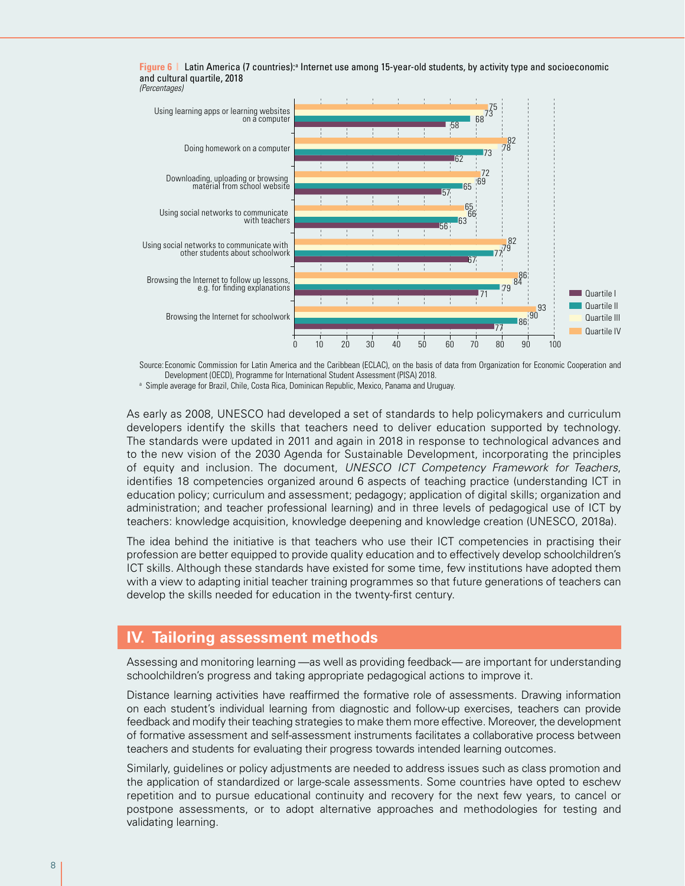



Source: Economic Commission for Latin America and the Caribbean (ECLAC), on the basis of data from Organization for Economic Cooperation and Development (OECD), Programme for International Student Assessment (PISA) 2018.

a Simple average for Brazil, Chile, Costa Rica, Dominican Republic, Mexico, Panama and Uruguay.

As early as 2008, UNESCO had developed a set of standards to help policymakers and curriculum developers identify the skills that teachers need to deliver education supported by technology. The standards were updated in 2011 and again in 2018 in response to technological advances and to the new vision of the 2030 Agenda for Sustainable Development, incorporating the principles of equity and inclusion. The document, *UNESCO ICT Competency Framework for Teachers*, identifies 18 competencies organized around 6 aspects of teaching practice (understanding ICT in education policy; curriculum and assessment; pedagogy; application of digital skills; organization and administration; and teacher professional learning) and in three levels of pedagogical use of ICT by teachers: knowledge acquisition, knowledge deepening and knowledge creation (UNESCO, 2018a).

The idea behind the initiative is that teachers who use their ICT competencies in practising their profession are better equipped to provide quality education and to effectively develop schoolchildren's ICT skills. Although these standards have existed for some time, few institutions have adopted them with a view to adapting initial teacher training programmes so that future generations of teachers can develop the skills needed for education in the twenty-first century.

#### **IV. Tailoring assessment methods**

Assessing and monitoring learning —as well as providing feedback— are important for understanding schoolchildren's progress and taking appropriate pedagogical actions to improve it.

Distance learning activities have reaffirmed the formative role of assessments. Drawing information on each student's individual learning from diagnostic and follow-up exercises, teachers can provide feedback and modify their teaching strategies to make them more effective. Moreover, the development of formative assessment and self-assessment instruments facilitates a collaborative process between teachers and students for evaluating their progress towards intended learning outcomes.

Similarly, guidelines or policy adjustments are needed to address issues such as class promotion and the application of standardized or large-scale assessments. Some countries have opted to eschew repetition and to pursue educational continuity and recovery for the next few years, to cancel or postpone assessments, or to adopt alternative approaches and methodologies for testing and validating learning.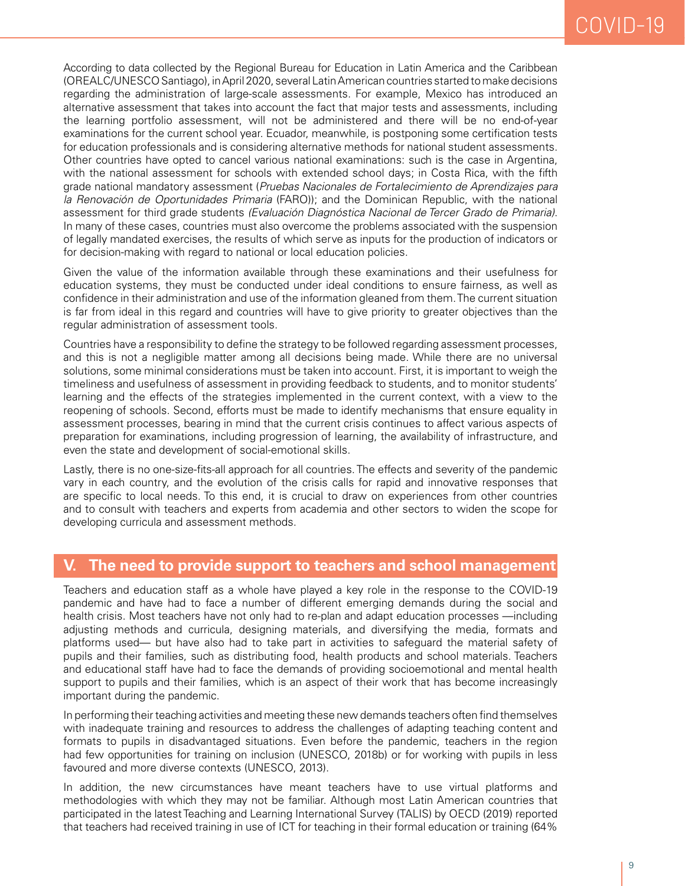According to data collected by the Regional Bureau for Education in Latin America and the Caribbean (OREALC/UNESCO Santiago), in April 2020, several Latin American countries started to make decisions regarding the administration of large-scale assessments. For example, Mexico has introduced an alternative assessment that takes into account the fact that major tests and assessments, including the learning portfolio assessment, will not be administered and there will be no end-of-year examinations for the current school year. Ecuador, meanwhile, is postponing some certification tests for education professionals and is considering alternative methods for national student assessments. Other countries have opted to cancel various national examinations: such is the case in Argentina, with the national assessment for schools with extended school days; in Costa Rica, with the fifth grade national mandatory assessment (*Pruebas Nacionales de Fortalecimiento de Aprendizajes para la Renovación de Oportunidades Primaria* (FARO)); and the Dominican Republic, with the national assessment for third grade students *(Evaluación Diagnóstica Nacional de Tercer Grado de Primaria)*. In many of these cases, countries must also overcome the problems associated with the suspension of legally mandated exercises, the results of which serve as inputs for the production of indicators or for decision-making with regard to national or local education policies.

Given the value of the information available through these examinations and their usefulness for education systems, they must be conducted under ideal conditions to ensure fairness, as well as confidence in their administration and use of the information gleaned from them. The current situation is far from ideal in this regard and countries will have to give priority to greater objectives than the regular administration of assessment tools.

Countries have a responsibility to define the strategy to be followed regarding assessment processes, and this is not a negligible matter among all decisions being made. While there are no universal solutions, some minimal considerations must be taken into account. First, it is important to weigh the timeliness and usefulness of assessment in providing feedback to students, and to monitor students' learning and the effects of the strategies implemented in the current context, with a view to the reopening of schools. Second, efforts must be made to identify mechanisms that ensure equality in assessment processes, bearing in mind that the current crisis continues to affect various aspects of preparation for examinations, including progression of learning, the availability of infrastructure, and even the state and development of social-emotional skills.

Lastly, there is no one-size-fits-all approach for all countries. The effects and severity of the pandemic vary in each country, and the evolution of the crisis calls for rapid and innovative responses that are specific to local needs. To this end, it is crucial to draw on experiences from other countries and to consult with teachers and experts from academia and other sectors to widen the scope for developing curricula and assessment methods.

#### **V. The need to provide support to teachers and school management**

Teachers and education staff as a whole have played a key role in the response to the COVID-19 pandemic and have had to face a number of different emerging demands during the social and health crisis. Most teachers have not only had to re-plan and adapt education processes —including adjusting methods and curricula, designing materials, and diversifying the media, formats and platforms used— but have also had to take part in activities to safeguard the material safety of pupils and their families, such as distributing food, health products and school materials. Teachers and educational staff have had to face the demands of providing socioemotional and mental health support to pupils and their families, which is an aspect of their work that has become increasingly important during the pandemic.

In performing their teaching activities and meeting these new demands teachers often find themselves with inadequate training and resources to address the challenges of adapting teaching content and formats to pupils in disadvantaged situations. Even before the pandemic, teachers in the region had few opportunities for training on inclusion (UNESCO, 2018b) or for working with pupils in less favoured and more diverse contexts (UNESCO, 2013).

In addition, the new circumstances have meant teachers have to use virtual platforms and methodologies with which they may not be familiar. Although most Latin American countries that participated in the latest Teaching and Learning International Survey (TALIS) by OECD (2019) reported that teachers had received training in use of ICT for teaching in their formal education or training (64%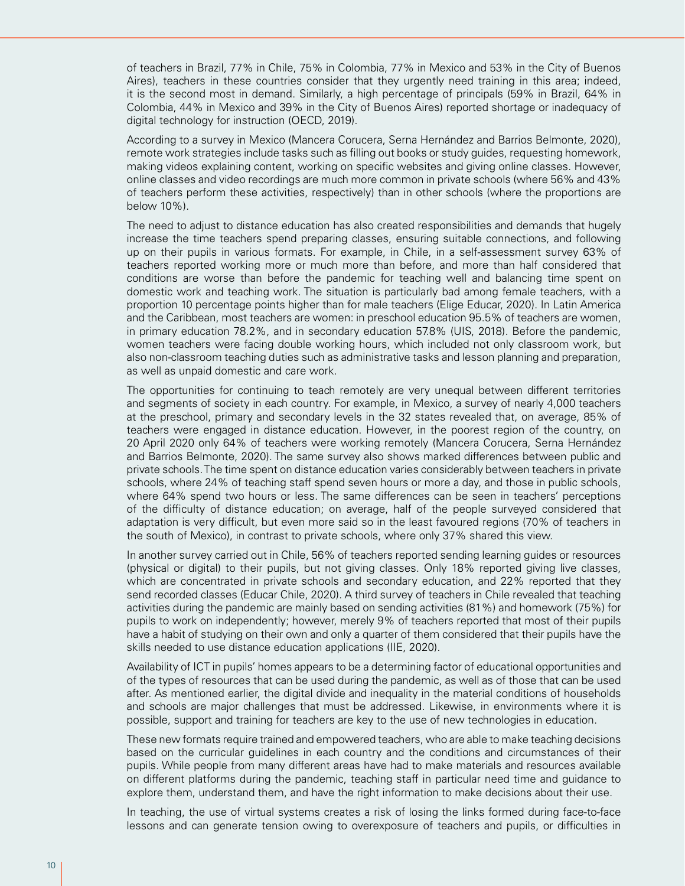of teachers in Brazil, 77% in Chile, 75% in Colombia, 77% in Mexico and 53% in the City of Buenos Aires), teachers in these countries consider that they urgently need training in this area; indeed, it is the second most in demand. Similarly, a high percentage of principals (59% in Brazil, 64% in Colombia, 44% in Mexico and 39% in the City of Buenos Aires) reported shortage or inadequacy of digital technology for instruction (OECD, 2019).

According to a survey in Mexico (Mancera Corucera, Serna Hernández and Barrios Belmonte, 2020), remote work strategies include tasks such as filling out books or study guides, requesting homework, making videos explaining content, working on specific websites and giving online classes. However, online classes and video recordings are much more common in private schools (where 56% and 43% of teachers perform these activities, respectively) than in other schools (where the proportions are below 10%).

The need to adjust to distance education has also created responsibilities and demands that hugely increase the time teachers spend preparing classes, ensuring suitable connections, and following up on their pupils in various formats. For example, in Chile, in a self-assessment survey 63% of teachers reported working more or much more than before, and more than half considered that conditions are worse than before the pandemic for teaching well and balancing time spent on domestic work and teaching work. The situation is particularly bad among female teachers, with a proportion 10 percentage points higher than for male teachers (Elige Educar, 2020). In Latin America and the Caribbean, most teachers are women: in preschool education 95.5% of teachers are women, in primary education 78.2%, and in secondary education 57.8% (UIS, 2018). Before the pandemic, women teachers were facing double working hours, which included not only classroom work, but also non-classroom teaching duties such as administrative tasks and lesson planning and preparation, as well as unpaid domestic and care work.

The opportunities for continuing to teach remotely are very unequal between different territories and segments of society in each country. For example, in Mexico, a survey of nearly 4,000 teachers at the preschool, primary and secondary levels in the 32 states revealed that, on average, 85% of teachers were engaged in distance education. However, in the poorest region of the country, on 20 April 2020 only 64% of teachers were working remotely (Mancera Corucera, Serna Hernández and Barrios Belmonte, 2020). The same survey also shows marked differences between public and private schools. The time spent on distance education varies considerably between teachers in private schools, where 24% of teaching staff spend seven hours or more a day, and those in public schools, where 64% spend two hours or less. The same differences can be seen in teachers' perceptions of the difficulty of distance education; on average, half of the people surveyed considered that adaptation is very difficult, but even more said so in the least favoured regions (70% of teachers in the south of Mexico), in contrast to private schools, where only 37% shared this view.

In another survey carried out in Chile, 56% of teachers reported sending learning guides or resources (physical or digital) to their pupils, but not giving classes. Only 18% reported giving live classes, which are concentrated in private schools and secondary education, and 22% reported that they send recorded classes (Educar Chile, 2020). A third survey of teachers in Chile revealed that teaching activities during the pandemic are mainly based on sending activities (81%) and homework (75%) for pupils to work on independently; however, merely 9% of teachers reported that most of their pupils have a habit of studying on their own and only a quarter of them considered that their pupils have the skills needed to use distance education applications (IIE, 2020).

Availability of ICT in pupils' homes appears to be a determining factor of educational opportunities and of the types of resources that can be used during the pandemic, as well as of those that can be used after. As mentioned earlier, the digital divide and inequality in the material conditions of households and schools are major challenges that must be addressed. Likewise, in environments where it is possible, support and training for teachers are key to the use of new technologies in education.

These new formats require trained and empowered teachers, who are able to make teaching decisions based on the curricular guidelines in each country and the conditions and circumstances of their pupils. While people from many different areas have had to make materials and resources available on different platforms during the pandemic, teaching staff in particular need time and guidance to explore them, understand them, and have the right information to make decisions about their use.

In teaching, the use of virtual systems creates a risk of losing the links formed during face-to-face lessons and can generate tension owing to overexposure of teachers and pupils, or difficulties in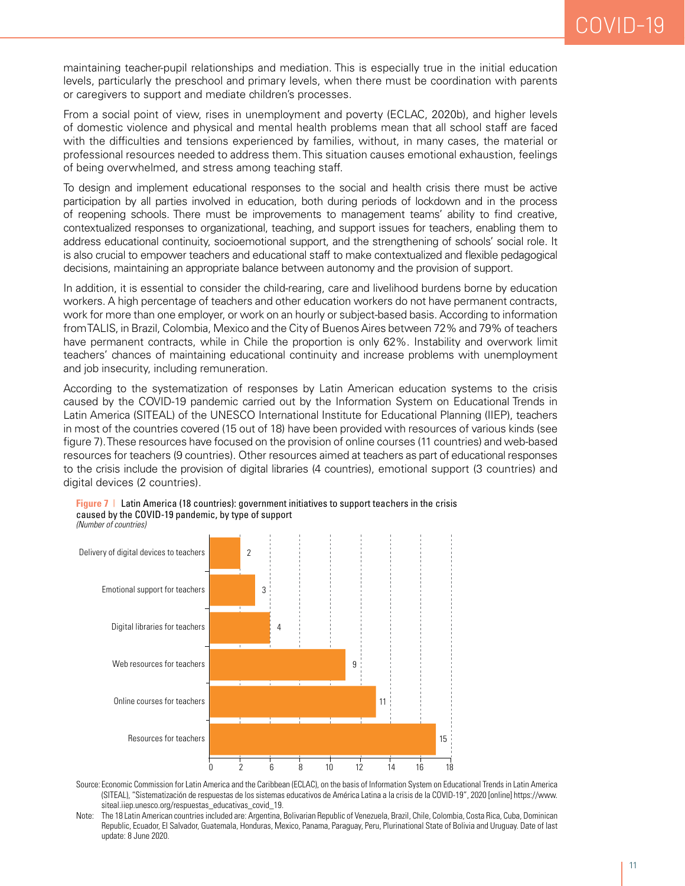maintaining teacher-pupil relationships and mediation. This is especially true in the initial education levels, particularly the preschool and primary levels, when there must be coordination with parents or caregivers to support and mediate children's processes.

From a social point of view, rises in unemployment and poverty (ECLAC, 2020b), and higher levels of domestic violence and physical and mental health problems mean that all school staff are faced with the difficulties and tensions experienced by families, without, in many cases, the material or professional resources needed to address them. This situation causes emotional exhaustion, feelings of being overwhelmed, and stress among teaching staff.

To design and implement educational responses to the social and health crisis there must be active participation by all parties involved in education, both during periods of lockdown and in the process of reopening schools. There must be improvements to management teams' ability to find creative, contextualized responses to organizational, teaching, and support issues for teachers, enabling them to address educational continuity, socioemotional support, and the strengthening of schools' social role. It is also crucial to empower teachers and educational staff to make contextualized and flexible pedagogical decisions, maintaining an appropriate balance between autonomy and the provision of support.

In addition, it is essential to consider the child-rearing, care and livelihood burdens borne by education workers. A high percentage of teachers and other education workers do not have permanent contracts, work for more than one employer, or work on an hourly or subject-based basis. According to information from TALIS, in Brazil, Colombia, Mexico and the City of Buenos Aires between 72% and 79% of teachers have permanent contracts, while in Chile the proportion is only 62%. Instability and overwork limit teachers' chances of maintaining educational continuity and increase problems with unemployment and job insecurity, including remuneration.

According to the systematization of responses by Latin American education systems to the crisis caused by the COVID-19 pandemic carried out by the Information System on Educational Trends in Latin America (SITEAL) of the UNESCO International Institute for Educational Planning (IIEP), teachers in most of the countries covered (15 out of 18) have been provided with resources of various kinds (see figure 7). These resources have focused on the provision of online courses (11 countries) and web-based resources for teachers (9 countries). Other resources aimed at teachers as part of educational responses to the crisis include the provision of digital libraries (4 countries), emotional support (3 countries) and digital devices (2 countries).



**Figure 7** | Latin America (18 countries): government initiatives to support teachers in the crisis caused by the COVID-19 pandemic, by type of support

- Source: Economic Commission for Latin America and the Caribbean (ECLAC), on the basis of Information System on Educational Trends in Latin America (SITEAL), "Sistematización de respuestas de los sistemas educativos de América Latina a la crisis de la COVID-19", 2020 [online] https://www. siteal.iiep.unesco.org/respuestas\_educativas\_covid\_19.
- Note: The 18 Latin American countries included are: Argentina, Bolivarian Republic of Venezuela, Brazil, Chile, Colombia, Costa Rica, Cuba, Dominican Republic, Ecuador, El Salvador, Guatemala, Honduras, Mexico, Panama, Paraguay, Peru, Plurinational State of Bolivia and Uruguay. Date of last update: 8 June 2020.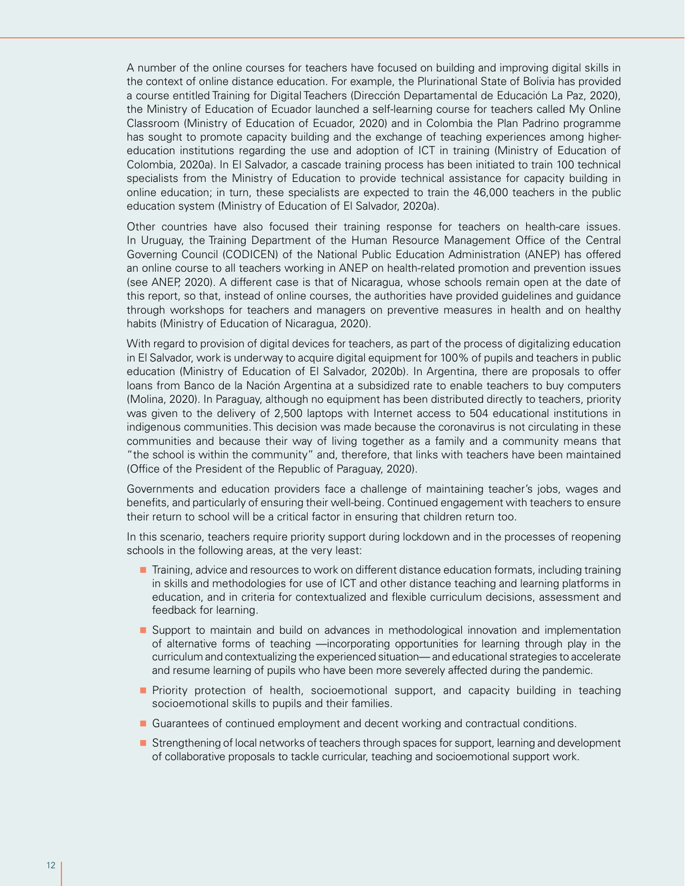A number of the online courses for teachers have focused on building and improving digital skills in the context of online distance education. For example, the Plurinational State of Bolivia has provided a course entitled Training for Digital Teachers (Dirección Departamental de Educación La Paz, 2020), the Ministry of Education of Ecuador launched a self-learning course for teachers called My Online Classroom (Ministry of Education of Ecuador, 2020) and in Colombia the Plan Padrino programme has sought to promote capacity building and the exchange of teaching experiences among highereducation institutions regarding the use and adoption of ICT in training (Ministry of Education of Colombia, 2020a). In El Salvador, a cascade training process has been initiated to train 100 technical specialists from the Ministry of Education to provide technical assistance for capacity building in online education; in turn, these specialists are expected to train the 46,000 teachers in the public education system (Ministry of Education of El Salvador, 2020a).

Other countries have also focused their training response for teachers on health-care issues. In Uruguay, the Training Department of the Human Resource Management Office of the Central Governing Council (CODICEN) of the National Public Education Administration (ANEP) has offered an online course to all teachers working in ANEP on health-related promotion and prevention issues (see ANEP, 2020). A different case is that of Nicaragua, whose schools remain open at the date of this report, so that, instead of online courses, the authorities have provided guidelines and guidance through workshops for teachers and managers on preventive measures in health and on healthy habits (Ministry of Education of Nicaragua, 2020).

With regard to provision of digital devices for teachers, as part of the process of digitalizing education in El Salvador, work is underway to acquire digital equipment for 100% of pupils and teachers in public education (Ministry of Education of El Salvador, 2020b). In Argentina, there are proposals to offer loans from Banco de la Nación Argentina at a subsidized rate to enable teachers to buy computers (Molina, 2020). In Paraguay, although no equipment has been distributed directly to teachers, priority was given to the delivery of 2,500 laptops with Internet access to 504 educational institutions in indigenous communities. This decision was made because the coronavirus is not circulating in these communities and because their way of living together as a family and a community means that "the school is within the community" and, therefore, that links with teachers have been maintained (Office of the President of the Republic of Paraguay, 2020).

Governments and education providers face a challenge of maintaining teacher's jobs, wages and benefits, and particularly of ensuring their well-being. Continued engagement with teachers to ensure their return to school will be a critical factor in ensuring that children return too.

In this scenario, teachers require priority support during lockdown and in the processes of reopening schools in the following areas, at the very least:

- **Training, advice and resources to work on different distance education formats, including training** in skills and methodologies for use of ICT and other distance teaching and learning platforms in education, and in criteria for contextualized and flexible curriculum decisions, assessment and feedback for learning.
- Support to maintain and build on advances in methodological innovation and implementation of alternative forms of teaching —incorporating opportunities for learning through play in the curriculum and contextualizing the experienced situation— and educational strategies to accelerate and resume learning of pupils who have been more severely affected during the pandemic.
- **Priority protection of health, socioemotional support, and capacity building in teaching** socioemotional skills to pupils and their families.
- Guarantees of continued employment and decent working and contractual conditions.
- Strengthening of local networks of teachers through spaces for support, learning and development of collaborative proposals to tackle curricular, teaching and socioemotional support work.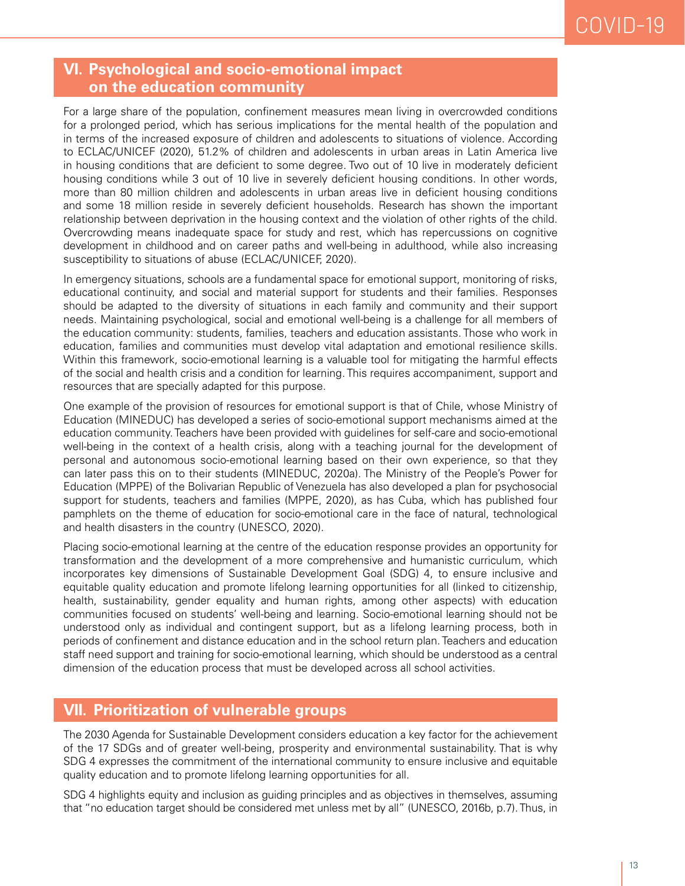#### **VI. Psychological and socio-emotional impact on the education community**

For a large share of the population, confinement measures mean living in overcrowded conditions for a prolonged period, which has serious implications for the mental health of the population and in terms of the increased exposure of children and adolescents to situations of violence. According to ECLAC/UNICEF (2020), 51.2% of children and adolescents in urban areas in Latin America live in housing conditions that are deficient to some degree. Two out of 10 live in moderately deficient housing conditions while 3 out of 10 live in severely deficient housing conditions. In other words, more than 80 million children and adolescents in urban areas live in deficient housing conditions and some 18 million reside in severely deficient households. Research has shown the important relationship between deprivation in the housing context and the violation of other rights of the child. Overcrowding means inadequate space for study and rest, which has repercussions on cognitive development in childhood and on career paths and well-being in adulthood, while also increasing susceptibility to situations of abuse (ECLAC/UNICEF, 2020).

In emergency situations, schools are a fundamental space for emotional support, monitoring of risks, educational continuity, and social and material support for students and their families. Responses should be adapted to the diversity of situations in each family and community and their support needs. Maintaining psychological, social and emotional well-being is a challenge for all members of the education community: students, families, teachers and education assistants. Those who work in education, families and communities must develop vital adaptation and emotional resilience skills. Within this framework, socio-emotional learning is a valuable tool for mitigating the harmful effects of the social and health crisis and a condition for learning. This requires accompaniment, support and resources that are specially adapted for this purpose.

One example of the provision of resources for emotional support is that of Chile, whose Ministry of Education (MINEDUC) has developed a series of socio-emotional support mechanisms aimed at the education community. Teachers have been provided with guidelines for self-care and socio-emotional well-being in the context of a health crisis, along with a teaching journal for the development of personal and autonomous socio-emotional learning based on their own experience, so that they can later pass this on to their students (MINEDUC, 2020a). The Ministry of the People's Power for Education (MPPE) of the Bolivarian Republic of Venezuela has also developed a plan for psychosocial support for students, teachers and families (MPPE, 2020), as has Cuba, which has published four pamphlets on the theme of education for socio-emotional care in the face of natural, technological and health disasters in the country (UNESCO, 2020).

Placing socio-emotional learning at the centre of the education response provides an opportunity for transformation and the development of a more comprehensive and humanistic curriculum, which incorporates key dimensions of Sustainable Development Goal (SDG) 4, to ensure inclusive and equitable quality education and promote lifelong learning opportunities for all (linked to citizenship, health, sustainability, gender equality and human rights, among other aspects) with education communities focused on students' well-being and learning. Socio-emotional learning should not be understood only as individual and contingent support, but as a lifelong learning process, both in periods of confinement and distance education and in the school return plan. Teachers and education staff need support and training for socio-emotional learning, which should be understood as a central dimension of the education process that must be developed across all school activities.

#### **VII. Prioritization of vulnerable groups**

The 2030 Agenda for Sustainable Development considers education a key factor for the achievement of the 17 SDGs and of greater well-being, prosperity and environmental sustainability. That is why SDG 4 expresses the commitment of the international community to ensure inclusive and equitable quality education and to promote lifelong learning opportunities for all.

SDG 4 highlights equity and inclusion as guiding principles and as objectives in themselves, assuming that "no education target should be considered met unless met by all" (UNESCO, 2016b, p.7). Thus, in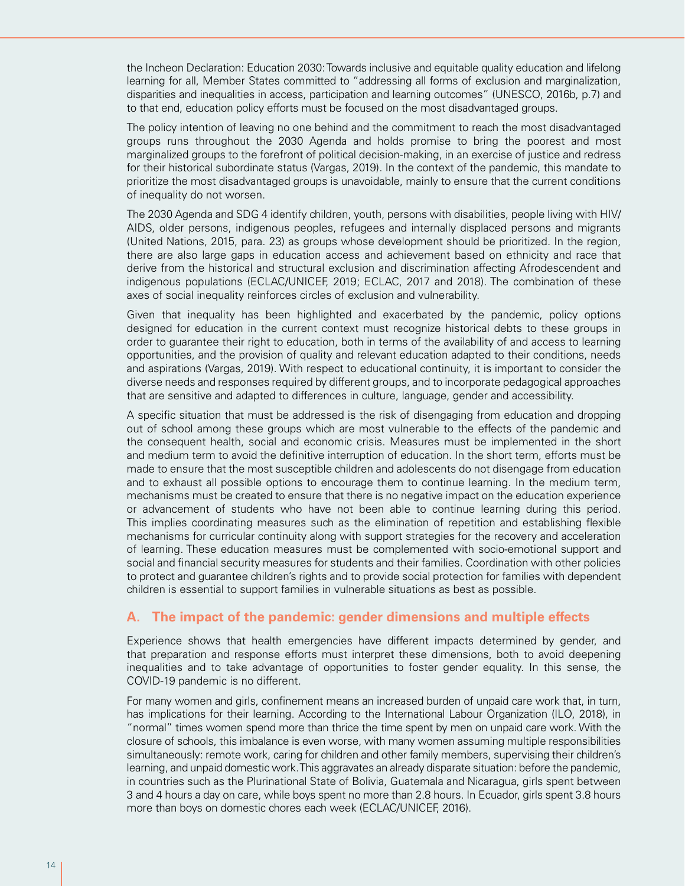the Incheon Declaration: Education 2030: Towards inclusive and equitable quality education and lifelong learning for all, Member States committed to "addressing all forms of exclusion and marginalization, disparities and inequalities in access, participation and learning outcomes" (UNESCO, 2016b, p.7) and to that end, education policy efforts must be focused on the most disadvantaged groups.

The policy intention of leaving no one behind and the commitment to reach the most disadvantaged groups runs throughout the 2030 Agenda and holds promise to bring the poorest and most marginalized groups to the forefront of political decision-making, in an exercise of justice and redress for their historical subordinate status (Vargas, 2019). In the context of the pandemic, this mandate to prioritize the most disadvantaged groups is unavoidable, mainly to ensure that the current conditions of inequality do not worsen.

The 2030 Agenda and SDG 4 identify children, youth, persons with disabilities, people living with HIV/ AIDS, older persons, indigenous peoples, refugees and internally displaced persons and migrants (United Nations, 2015, para. 23) as groups whose development should be prioritized. In the region, there are also large gaps in education access and achievement based on ethnicity and race that derive from the historical and structural exclusion and discrimination affecting Afrodescendent and indigenous populations (ECLAC/UNICEF, 2019; ECLAC, 2017 and 2018). The combination of these axes of social inequality reinforces circles of exclusion and vulnerability.

Given that inequality has been highlighted and exacerbated by the pandemic, policy options designed for education in the current context must recognize historical debts to these groups in order to guarantee their right to education, both in terms of the availability of and access to learning opportunities, and the provision of quality and relevant education adapted to their conditions, needs and aspirations (Vargas, 2019). With respect to educational continuity, it is important to consider the diverse needs and responses required by different groups, and to incorporate pedagogical approaches that are sensitive and adapted to differences in culture, language, gender and accessibility.

A specific situation that must be addressed is the risk of disengaging from education and dropping out of school among these groups which are most vulnerable to the effects of the pandemic and the consequent health, social and economic crisis. Measures must be implemented in the short and medium term to avoid the definitive interruption of education. In the short term, efforts must be made to ensure that the most susceptible children and adolescents do not disengage from education and to exhaust all possible options to encourage them to continue learning. In the medium term, mechanisms must be created to ensure that there is no negative impact on the education experience or advancement of students who have not been able to continue learning during this period. This implies coordinating measures such as the elimination of repetition and establishing flexible mechanisms for curricular continuity along with support strategies for the recovery and acceleration of learning. These education measures must be complemented with socio-emotional support and social and financial security measures for students and their families. Coordination with other policies to protect and guarantee children's rights and to provide social protection for families with dependent children is essential to support families in vulnerable situations as best as possible.

#### **A. The impact of the pandemic: gender dimensions and multiple effects**

Experience shows that health emergencies have different impacts determined by gender, and that preparation and response efforts must interpret these dimensions, both to avoid deepening inequalities and to take advantage of opportunities to foster gender equality. In this sense, the COVID-19 pandemic is no different.

For many women and girls, confinement means an increased burden of unpaid care work that, in turn, has implications for their learning. According to the International Labour Organization (ILO, 2018), in "normal" times women spend more than thrice the time spent by men on unpaid care work. With the closure of schools, this imbalance is even worse, with many women assuming multiple responsibilities simultaneously: remote work, caring for children and other family members, supervising their children's learning, and unpaid domestic work. This aggravates an already disparate situation: before the pandemic, in countries such as the Plurinational State of Bolivia, Guatemala and Nicaragua, girls spent between 3 and 4 hours a day on care, while boys spent no more than 2.8 hours. In Ecuador, girls spent 3.8 hours more than boys on domestic chores each week (ECLAC/UNICEF, 2016).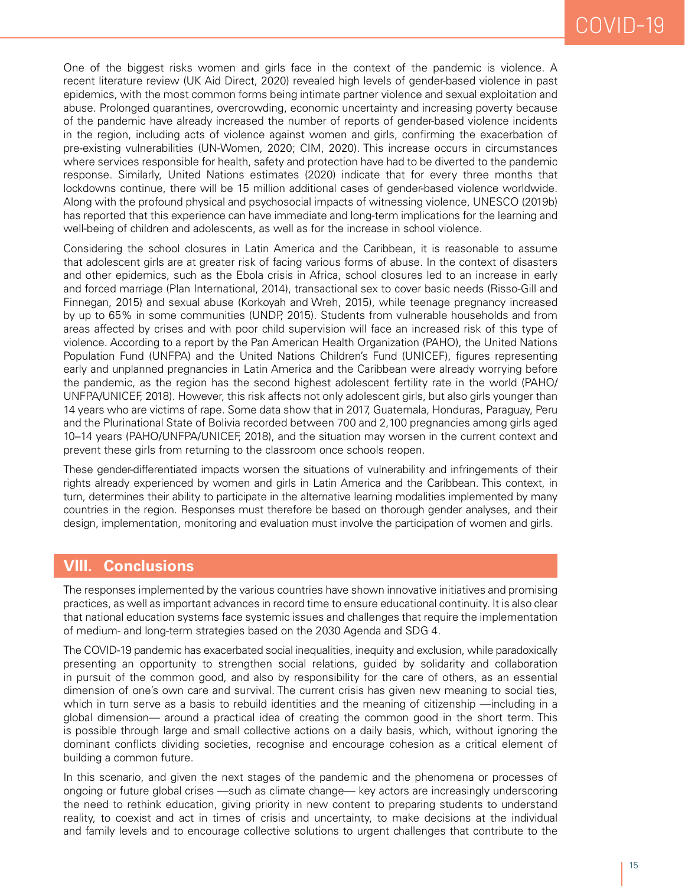One of the biggest risks women and girls face in the context of the pandemic is violence. A recent literature review (UK Aid Direct, 2020) revealed high levels of gender-based violence in past epidemics, with the most common forms being intimate partner violence and sexual exploitation and abuse. Prolonged quarantines, overcrowding, economic uncertainty and increasing poverty because of the pandemic have already increased the number of reports of gender-based violence incidents in the region, including acts of violence against women and girls, confirming the exacerbation of pre-existing vulnerabilities (UN-Women, 2020; CIM, 2020). This increase occurs in circumstances where services responsible for health, safety and protection have had to be diverted to the pandemic response. Similarly, United Nations estimates (2020) indicate that for every three months that lockdowns continue, there will be 15 million additional cases of gender-based violence worldwide. Along with the profound physical and psychosocial impacts of witnessing violence, UNESCO (2019b) has reported that this experience can have immediate and long-term implications for the learning and well-being of children and adolescents, as well as for the increase in school violence.

Considering the school closures in Latin America and the Caribbean, it is reasonable to assume that adolescent girls are at greater risk of facing various forms of abuse. In the context of disasters and other epidemics, such as the Ebola crisis in Africa, school closures led to an increase in early and forced marriage (Plan International, 2014), transactional sex to cover basic needs (Risso-Gill and Finnegan, 2015) and sexual abuse (Korkoyah and Wreh, 2015), while teenage pregnancy increased by up to 65% in some communities (UNDP, 2015). Students from vulnerable households and from areas affected by crises and with poor child supervision will face an increased risk of this type of violence. According to a report by the Pan American Health Organization (PAHO), the United Nations Population Fund (UNFPA) and the United Nations Children's Fund (UNICEF), figures representing early and unplanned pregnancies in Latin America and the Caribbean were already worrying before the pandemic, as the region has the second highest adolescent fertility rate in the world (PAHO/ UNFPA/UNICEF, 2018). However, this risk affects not only adolescent girls, but also girls younger than 14 years who are victims of rape. Some data show that in 2017, Guatemala, Honduras, Paraguay, Peru and the Plurinational State of Bolivia recorded between 700 and 2,100 pregnancies among girls aged 10–14 years (PAHO/UNFPA/UNICEF, 2018), and the situation may worsen in the current context and prevent these girls from returning to the classroom once schools reopen.

These gender-differentiated impacts worsen the situations of vulnerability and infringements of their rights already experienced by women and girls in Latin America and the Caribbean. This context, in turn, determines their ability to participate in the alternative learning modalities implemented by many countries in the region. Responses must therefore be based on thorough gender analyses, and their design, implementation, monitoring and evaluation must involve the participation of women and girls.

#### **VIII. Conclusions**

The responses implemented by the various countries have shown innovative initiatives and promising practices, as well as important advances in record time to ensure educational continuity. It is also clear that national education systems face systemic issues and challenges that require the implementation of medium- and long-term strategies based on the 2030 Agenda and SDG 4.

The COVID-19 pandemic has exacerbated social inequalities, inequity and exclusion, while paradoxically presenting an opportunity to strengthen social relations, guided by solidarity and collaboration in pursuit of the common good, and also by responsibility for the care of others, as an essential dimension of one's own care and survival. The current crisis has given new meaning to social ties, which in turn serve as a basis to rebuild identities and the meaning of citizenship —including in a global dimension— around a practical idea of creating the common good in the short term. This is possible through large and small collective actions on a daily basis, which, without ignoring the dominant conflicts dividing societies, recognise and encourage cohesion as a critical element of building a common future.

In this scenario, and given the next stages of the pandemic and the phenomena or processes of ongoing or future global crises —such as climate change— key actors are increasingly underscoring the need to rethink education, giving priority in new content to preparing students to understand reality, to coexist and act in times of crisis and uncertainty, to make decisions at the individual and family levels and to encourage collective solutions to urgent challenges that contribute to the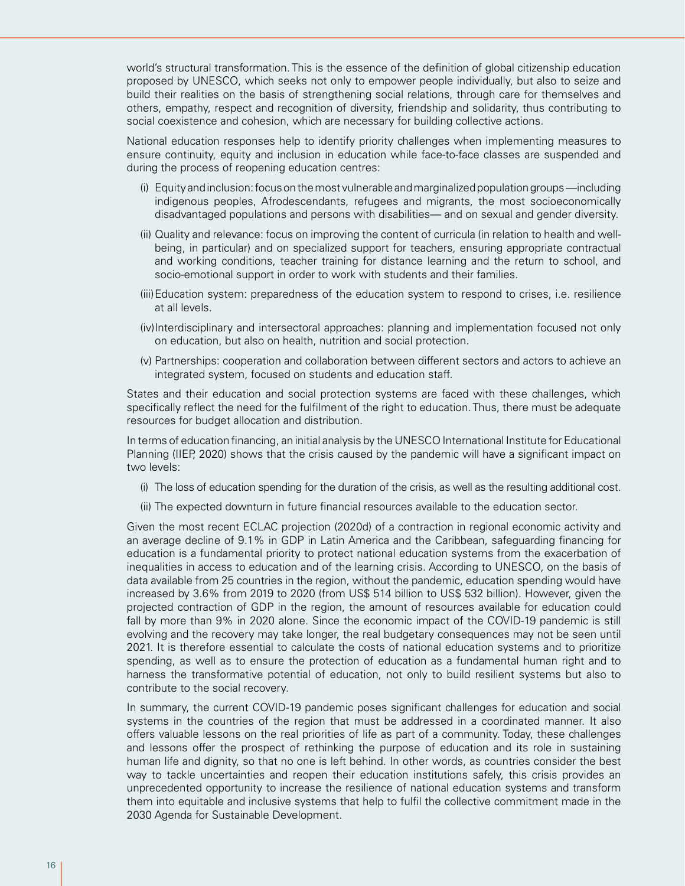world's structural transformation. This is the essence of the definition of global citizenship education proposed by UNESCO, which seeks not only to empower people individually, but also to seize and build their realities on the basis of strengthening social relations, through care for themselves and others, empathy, respect and recognition of diversity, friendship and solidarity, thus contributing to social coexistence and cohesion, which are necessary for building collective actions.

National education responses help to identify priority challenges when implementing measures to ensure continuity, equity and inclusion in education while face-to-face classes are suspended and during the process of reopening education centres:

- (i) Equity and inclusion: focus on the most vulnerable and marginalized population groups —including indigenous peoples, Afrodescendants, refugees and migrants, the most socioeconomically disadvantaged populations and persons with disabilities— and on sexual and gender diversity.
- (ii) Quality and relevance: focus on improving the content of curricula (in relation to health and wellbeing, in particular) and on specialized support for teachers, ensuring appropriate contractual and working conditions, teacher training for distance learning and the return to school, and socio-emotional support in order to work with students and their families.
- (iii)Education system: preparedness of the education system to respond to crises, i.e. resilience at all levels.
- (iv)Interdisciplinary and intersectoral approaches: planning and implementation focused not only on education, but also on health, nutrition and social protection.
- (v) Partnerships: cooperation and collaboration between different sectors and actors to achieve an integrated system, focused on students and education staff.

States and their education and social protection systems are faced with these challenges, which specifically reflect the need for the fulfilment of the right to education. Thus, there must be adequate resources for budget allocation and distribution.

In terms of education financing, an initial analysis by the UNESCO International Institute for Educational Planning (IIEP, 2020) shows that the crisis caused by the pandemic will have a significant impact on two levels:

- (i) The loss of education spending for the duration of the crisis, as well as the resulting additional cost.
- (ii) The expected downturn in future financial resources available to the education sector.

Given the most recent ECLAC projection (2020d) of a contraction in regional economic activity and an average decline of 9.1% in GDP in Latin America and the Caribbean, safeguarding financing for education is a fundamental priority to protect national education systems from the exacerbation of inequalities in access to education and of the learning crisis. According to UNESCO, on the basis of data available from 25 countries in the region, without the pandemic, education spending would have increased by 3.6% from 2019 to 2020 (from US\$ 514 billion to US\$ 532 billion). However, given the projected contraction of GDP in the region, the amount of resources available for education could fall by more than 9% in 2020 alone. Since the economic impact of the COVID-19 pandemic is still evolving and the recovery may take longer, the real budgetary consequences may not be seen until 2021. It is therefore essential to calculate the costs of national education systems and to prioritize spending, as well as to ensure the protection of education as a fundamental human right and to harness the transformative potential of education, not only to build resilient systems but also to contribute to the social recovery.

In summary, the current COVID-19 pandemic poses significant challenges for education and social systems in the countries of the region that must be addressed in a coordinated manner. It also offers valuable lessons on the real priorities of life as part of a community. Today, these challenges and lessons offer the prospect of rethinking the purpose of education and its role in sustaining human life and dignity, so that no one is left behind. In other words, as countries consider the best way to tackle uncertainties and reopen their education institutions safely, this crisis provides an unprecedented opportunity to increase the resilience of national education systems and transform them into equitable and inclusive systems that help to fulfil the collective commitment made in the 2030 Agenda for Sustainable Development.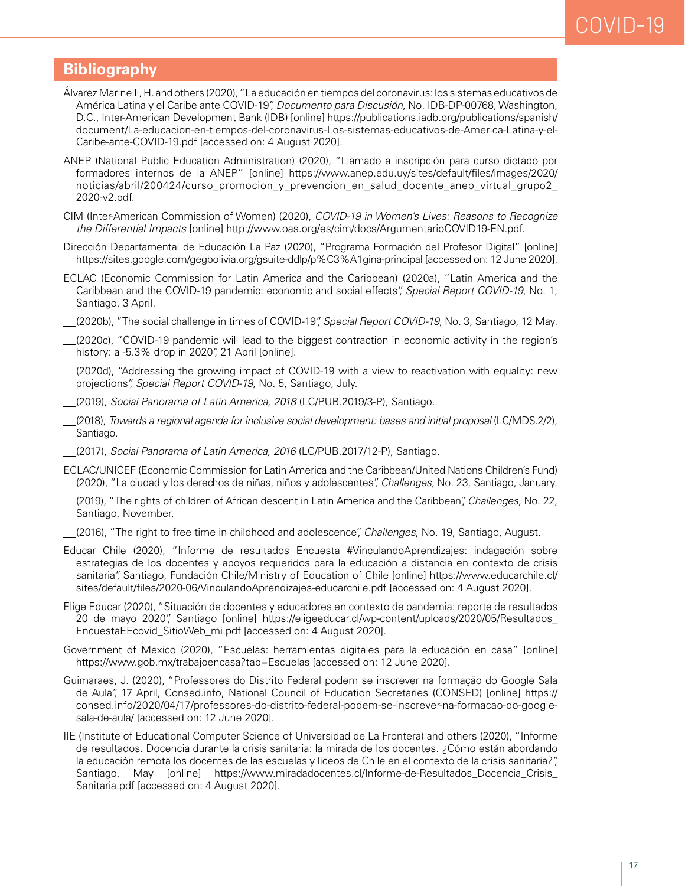## COVID-19

#### **Bibliography**

- Álvarez Marinelli, H. and others (2020), "La educación en tiempos del coronavirus: los sistemas educativos de América Latina y el Caribe ante COVID-19", *Documento para Discusión*, No. IDB-DP-00768, Washington, D.C., Inter-American Development Bank (IDB) [online] https://publications.iadb.org/publications/spanish/ document/La-educacion-en-tiempos-del-coronavirus-Los-sistemas-educativos-de-America-Latina-y-el-Caribe-ante-COVID-19.pdf [accessed on: 4 August 2020].
- ANEP (National Public Education Administration) (2020), "Llamado a inscripción para curso dictado por formadores internos de la ANEP" [online] https://www.anep.edu.uy/sites/default/files/images/2020/ noticias/abril/200424/curso\_promocion\_y\_prevencion\_en\_salud\_docente\_anep\_virtual\_grupo2\_ 2020-v2.pdf.
- CIM (Inter-American Commission of Women) (2020), *COVID-19 in Women's Lives: Reasons to Recognize the Differential Impacts* [online] http://www.oas.org/es/cim/docs/ArgumentarioCOVID19-EN.pdf.
- Dirección Departamental de Educación La Paz (2020), "Programa Formación del Profesor Digital" [online] https://sites.google.com/gegbolivia.org/gsuite-ddlp/p%C3%A1gina-principal [accessed on: 12 June 2020].
- ECLAC (Economic Commission for Latin America and the Caribbean) (2020a), "Latin America and the Caribbean and the COVID-19 pandemic: economic and social effects", *Special Report COVID-19*, No. 1, Santiago, 3 April.
- (2020b), "The social challenge in times of COVID-19", *Special Report COVID-19*, No. 3, Santiago, 12 May.
- (2020c), "COVID-19 pandemic will lead to the biggest contraction in economic activity in the region's history: a -5.3% drop in 2020", 21 April [online].
- (2020d), "Addressing the growing impact of COVID-19 with a view to reactivation with equality: new projections", *Special Report COVID-19*, No. 5, Santiago, July.
- (2019), *Social Panorama of Latin America, 2018* (LC/PUB.2019/3-P), Santiago.
- (2018), *Towards a regional agenda for inclusive social development: bases and initial proposal* (LC/MDS.2/2), Santiago.
- (2017), *Social Panorama of Latin America, 2016* (LC/PUB.2017/12-P), Santiago.
- ECLAC/UNICEF (Economic Commission for Latin America and the Caribbean/United Nations Children's Fund) (2020), "La ciudad y los derechos de niñas, niños y adolescentes", *Challenges*, No. 23, Santiago, January.
- (2019), "The rights of children of African descent in Latin America and the Caribbean", *Challenges*, No. 22, Santiago, November.
- (2016), "The right to free time in childhood and adolescence", *Challenges*, No. 19, Santiago, August.
- Educar Chile (2020), "Informe de resultados Encuesta #VinculandoAprendizajes: indagación sobre estrategias de los docentes y apoyos requeridos para la educación a distancia en contexto de crisis sanitaria", Santiago, Fundación Chile/Ministry of Education of Chile [online] https://www.educarchile.cl/ sites/default/files/2020-06/VinculandoAprendizajes-educarchile.pdf [accessed on: 4 August 2020].
- Elige Educar (2020), "Situación de docentes y educadores en contexto de pandemia: reporte de resultados 20 de mayo 2020", Santiago [online] https://eligeeducar.cl/wp-content/uploads/2020/05/Resultados\_ EncuestaEEcovid\_SitioWeb\_mi.pdf [accessed on: 4 August 2020].
- Government of Mexico (2020), "Escuelas: herramientas digitales para la educación en casa" [online] https://www.gob.mx/trabajoencasa?tab=Escuelas [accessed on: 12 June 2020].
- Guimaraes, J. (2020), "Professores do Distrito Federal podem se inscrever na formação do Google Sala de Aula", 17 April, Consed.info, National Council of Education Secretaries (CONSED) [online] https:// consed.info/2020/04/17/professores-do-distrito-federal-podem-se-inscrever-na-formacao-do-googlesala-de-aula/ [accessed on: 12 June 2020].
- IIE (Institute of Educational Computer Science of Universidad de La Frontera) and others (2020), "Informe de resultados. Docencia durante la crisis sanitaria: la mirada de los docentes. ¿Cómo están abordando la educación remota los docentes de las escuelas y liceos de Chile en el contexto de la crisis sanitaria?", Santiago, May [online] https://www.miradadocentes.cl/Informe-de-Resultados\_Docencia\_Crisis\_ Sanitaria.pdf [accessed on: 4 August 2020].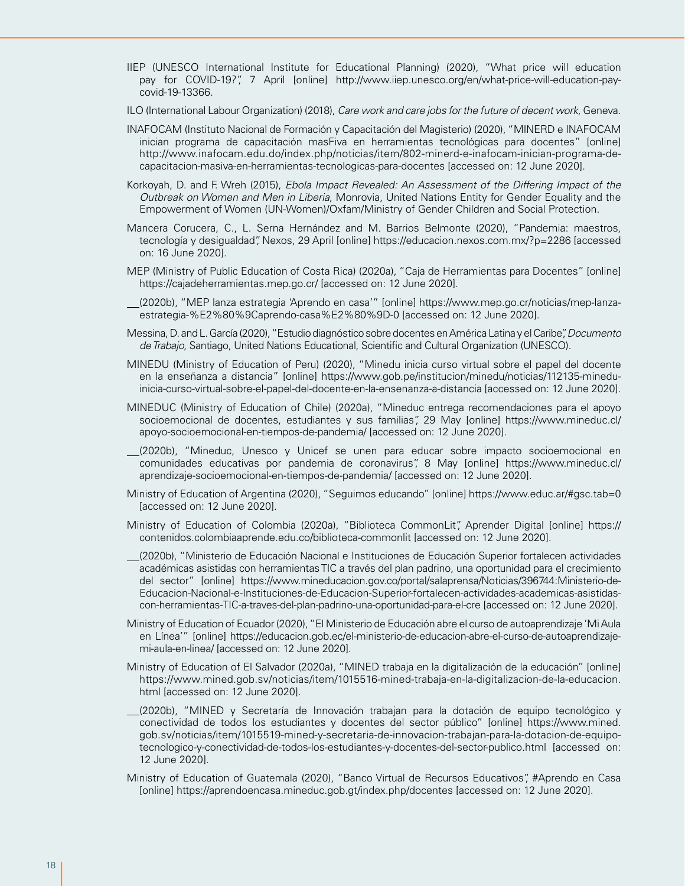- IIEP (UNESCO International Institute for Educational Planning) (2020), "What price will education pay for COVID-19?", 7 April [online] http://www.iiep.unesco.org/en/what-price-will-education-paycovid-19-13366.
- ILO (International Labour Organization) (2018), *Care work and care jobs for the future of decent work*, Geneva.
- INAFOCAM (Instituto Nacional de Formación y Capacitación del Magisterio) (2020), "MINERD e INAFOCAM inician programa de capacitación masFiva en herramientas tecnológicas para docentes" [online] http://www.inafocam.edu.do/index.php/noticias/item/802-minerd-e-inafocam-inician-programa-decapacitacion-masiva-en-herramientas-tecnologicas-para-docentes [accessed on: 12 June 2020].
- Korkoyah, D. and F. Wreh (2015), *Ebola Impact Revealed: An Assessment of the Differing Impact of the Outbreak on Women and Men in Liberia*, Monrovia, United Nations Entity for Gender Equality and the Empowerment of Women (UN-Women)/Oxfam/Ministry of Gender Children and Social Protection.
- Mancera Corucera, C., L. Serna Hernández and M. Barrios Belmonte (2020), "Pandemia: maestros, tecnología y desigualdad", Nexos, 29 April [online] https://educacion.nexos.com.mx/?p=2286 [accessed on: 16 June 2020].
- MEP (Ministry of Public Education of Costa Rica) (2020a), "Caja de Herramientas para Docentes" [online] https://cajadeherramientas.mep.go.cr/ [accessed on: 12 June 2020].
- (2020b), "MEP lanza estrategia 'Aprendo en casa'" [online] https://www.mep.go.cr/noticias/mep-lanzaestrategia-%E2%80%9Caprendo-casa%E2%80%9D-0 [accessed on: 12 June 2020].
- Messina, D. and L. García (2020), "Estudio diagnóstico sobre docentes en América Latina y el Caribe", *Documento de Trabajo*, Santiago, United Nations Educational, Scientific and Cultural Organization (UNESCO).
- MINEDU (Ministry of Education of Peru) (2020), "Minedu inicia curso virtual sobre el papel del docente en la enseñanza a distancia" [online] https://www.gob.pe/institucion/minedu/noticias/112135-mineduinicia-curso-virtual-sobre-el-papel-del-docente-en-la-ensenanza-a-distancia [accessed on: 12 June 2020].
- MINEDUC (Ministry of Education of Chile) (2020a), "Mineduc entrega recomendaciones para el apoyo socioemocional de docentes, estudiantes y sus familias", 29 May [online] https://www.mineduc.cl/ apoyo-socioemocional-en-tiempos-de-pandemia/ [accessed on: 12 June 2020].
- (2020b), "Mineduc, Unesco y Unicef se unen para educar sobre impacto socioemocional en comunidades educativas por pandemia de coronavirus", 8 May [online] https://www.mineduc.cl/ aprendizaje-socioemocional-en-tiempos-de-pandemia/ [accessed on: 12 June 2020].
- Ministry of Education of Argentina (2020), "Seguimos educando" [online] https://www.educ.ar/#gsc.tab=0 [accessed on: 12 June 2020].
- Ministry of Education of Colombia (2020a), "Biblioteca CommonLit", Aprender Digital [online] https:// contenidos.colombiaaprende.edu.co/biblioteca-commonlit [accessed on: 12 June 2020].
- (2020b), "Ministerio de Educación Nacional e Instituciones de Educación Superior fortalecen actividades académicas asistidas con herramientas TIC a través del plan padrino, una oportunidad para el crecimiento del sector" [online] https://www.mineducacion.gov.co/portal/salaprensa/Noticias/396744:Ministerio-de-Educacion-Nacional-e-Instituciones-de-Educacion-Superior-fortalecen-actividades-academicas-asistidascon-herramientas-TIC-a-traves-del-plan-padrino-una-oportunidad-para-el-cre [accessed on: 12 June 2020].
- Ministry of Education of Ecuador (2020), "El Ministerio de Educación abre el curso de autoaprendizaje 'Mi Aula en Línea'" [online] https://educacion.gob.ec/el-ministerio-de-educacion-abre-el-curso-de-autoaprendizajemi-aula-en-linea/ [accessed on: 12 June 2020].
- Ministry of Education of El Salvador (2020a), "MINED trabaja en la digitalización de la educación" [online] https://www.mined.gob.sv/noticias/item/1015516-mined-trabaja-en-la-digitalizacion-de-la-educacion. html [accessed on: 12 June 2020].
- (2020b), "MINED y Secretaría de Innovación trabajan para la dotación de equipo tecnológico y conectividad de todos los estudiantes y docentes del sector público" [online] https://www.mined. gob.sv/noticias/item/1015519-mined-y-secretaria-de-innovacion-trabajan-para-la-dotacion-de-equipotecnologico-y-conectividad-de-todos-los-estudiantes-y-docentes-del-sector-publico.html [accessed on: 12 June 2020].
- Ministry of Education of Guatemala (2020), "Banco Virtual de Recursos Educativos", #Aprendo en Casa [online] https://aprendoencasa.mineduc.gob.gt/index.php/docentes [accessed on: 12 June 2020].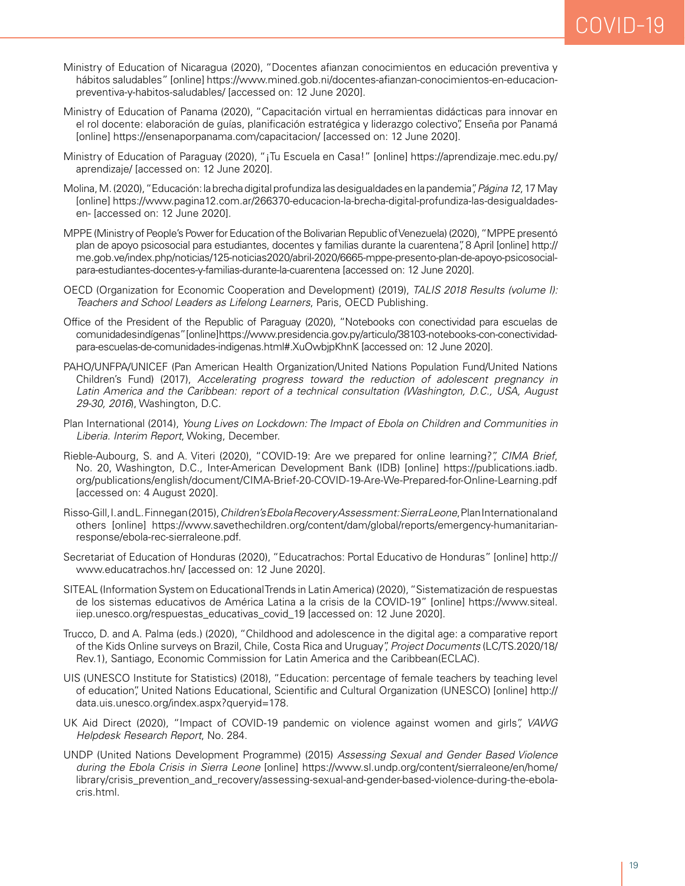- Ministry of Education of Nicaragua (2020), "Docentes afianzan conocimientos en educación preventiva y hábitos saludables" [online] https://www.mined.gob.ni/docentes-afianzan-conocimientos-en-educacionpreventiva-y-habitos-saludables/ [accessed on: 12 June 2020].
- Ministry of Education of Panama (2020), "Capacitación virtual en herramientas didácticas para innovar en el rol docente: elaboración de guías, planificación estratégica y liderazgo colectivo", Enseña por Panamá [online] https://ensenaporpanama.com/capacitacion/ [accessed on: 12 June 2020].
- Ministry of Education of Paraguay (2020), "¡Tu Escuela en Casa!" [online] https://aprendizaje.mec.edu.py/ aprendizaje/ [accessed on: 12 June 2020].
- Molina, M. (2020), "Educación: la brecha digital profundiza las desigualdades en la pandemia", *Página 12*, 17 May [online] https://www.pagina12.com.ar/266370-educacion-la-brecha-digital-profundiza-las-desigualdadesen- [accessed on: 12 June 2020].
- MPPE (Ministry of People's Power for Education of the Bolivarian Republic of Venezuela) (2020), "MPPE presentó plan de apoyo psicosocial para estudiantes, docentes y familias durante la cuarentena", 8 April [online] http:// me.gob.ve/index.php/noticias/125-noticias2020/abril-2020/6665-mppe-presento-plan-de-apoyo-psicosocialpara-estudiantes-docentes-y-familias-durante-la-cuarentena [accessed on: 12 June 2020].
- OECD (Organization for Economic Cooperation and Development) (2019), *TALIS 2018 Results (volume I): Teachers and School Leaders as Lifelong Learners*, Paris, OECD Publishing.
- Office of the President of the Republic of Paraguay (2020), "Notebooks con conectividad para escuelas de comunidades indígenas" [online] https://www.presidencia.gov.py/articulo/38103-notebooks-con-conectividadpara-escuelas-de-comunidades-indigenas.html#.XuOwbjpKhnK [accessed on: 12 June 2020].
- PAHO/UNFPA/UNICEF (Pan American Health Organization/United Nations Population Fund/United Nations Children's Fund) (2017), *Accelerating progress toward the reduction of adolescent pregnancy in Latin America and the Caribbean: report of a technical consultation (Washington, D.C., USA, August 29-30, 2016*), Washington, D.C.
- Plan International (2014), *Young Lives on Lockdown: The Impact of Ebola on Children and Communities in Liberia. Interim Report*, Woking, December.
- Rieble-Aubourg, S. and A. Viteri (2020), "COVID-19: Are we prepared for online learning?", *CIMA Brief*, No. 20, Washington, D.C., Inter-American Development Bank (IDB) [online] https://publications.iadb. org/publications/english/document/CIMA-Brief-20-COVID-19-Are-We-Prepared-for-Online-Learning.pdf [accessed on: 4 August 2020].
- Risso-Gill, I. and L. Finnegan (2015), *Children's Ebola Recovery Assessment: Sierra Leone*, Plan International and others [online] https://www.savethechildren.org/content/dam/global/reports/emergency-humanitarianresponse/ebola-rec-sierraleone.pdf.
- Secretariat of Education of Honduras (2020), "Educatrachos: Portal Educativo de Honduras" [online] http:// www.educatrachos.hn/ [accessed on: 12 June 2020].
- SITEAL (Information System on Educational Trends in Latin America) (2020), "Sistematización de respuestas de los sistemas educativos de América Latina a la crisis de la COVID-19" [online] https://www.siteal. iiep.unesco.org/respuestas\_educativas\_covid\_19 [accessed on: 12 June 2020].
- Trucco, D. and A. Palma (eds.) (2020), "Childhood and adolescence in the digital age: a comparative report of the Kids Online surveys on Brazil, Chile, Costa Rica and Uruguay", *Project Documents* (LC/TS.2020/18/ Rev.1), Santiago, Economic Commission for Latin America and the Caribbean(ECLAC).
- UIS (UNESCO Institute for Statistics) (2018), "Education: percentage of female teachers by teaching level of education", United Nations Educational, Scientific and Cultural Organization (UNESCO) [online] http:// data.uis.unesco.org/index.aspx?queryid=178.
- UK Aid Direct (2020), "Impact of COVID-19 pandemic on violence against women and girls", *VAWG Helpdesk Research Report*, No. 284.
- UNDP (United Nations Development Programme) (2015) *Assessing Sexual and Gender Based Violence during the Ebola Crisis in Sierra Leone* [online] https://www.sl.undp.org/content/sierraleone/en/home/ library/crisis\_prevention\_and\_recovery/assessing-sexual-and-gender-based-violence-during-the-ebolacris.html.